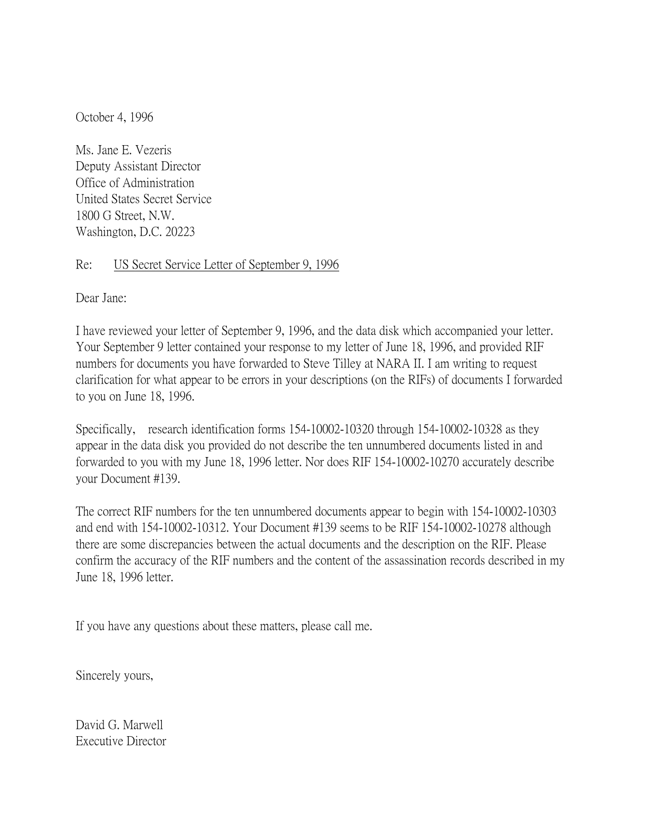October 4, 1996

Ms. Jane E. Vezeris Deputy Assistant Director Office of Administration United States Secret Service 1800 G Street, N.W. Washington, D.C. 20223

## Re: US Secret Service Letter of September 9, 1996

Dear Jane:

I have reviewed your letter of September 9, 1996, and the data disk which accompanied your letter. Your September 9 letter contained your response to my letter of June 18, 1996, and provided RIF numbers for documents you have forwarded to Steve Tilley at NARA II. I am writing to request clarification for what appear to be errors in your descriptions (on the RIFs) of documents I forwarded to you on June 18, 1996.

Specifically, research identification forms 154-10002-10320 through 154-10002-10328 as they appear in the data disk you provided do not describe the ten unnumbered documents listed in and forwarded to you with my June 18, 1996 letter. Nor does RIF 154-10002-10270 accurately describe your Document #139.

The correct RIF numbers for the ten unnumbered documents appear to begin with 154-10002-10303 and end with 154-10002-10312. Your Document #139 seems to be RIF 154-10002-10278 although there are some discrepancies between the actual documents and the description on the RIF. Please confirm the accuracy of the RIF numbers and the content of the assassination records described in my June 18, 1996 letter.

If you have any questions about these matters, please call me.

Sincerely yours,

David G. Marwell Executive Director